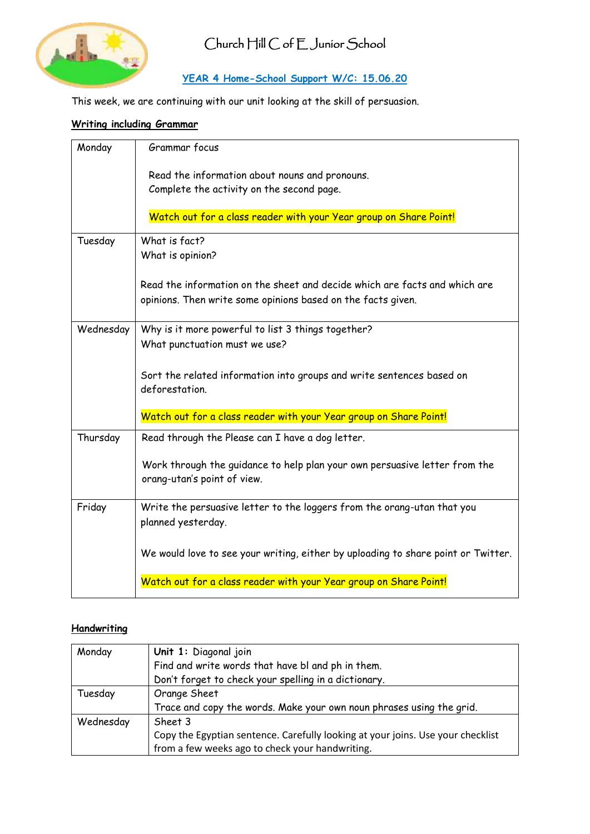

## Church Hill C of E Junior School

### **YEAR 4 Home-School Support W/C: 15.06.20**

This week, we are continuing with our unit looking at the skill of persuasion.

### **Writing including Grammar**

| Monday    | Grammar focus                                                                                                                              |
|-----------|--------------------------------------------------------------------------------------------------------------------------------------------|
|           | Read the information about nouns and pronouns.<br>Complete the activity on the second page.                                                |
|           | Watch out for a class reader with your Year group on Share Point!                                                                          |
| Tuesday   | What is fact?<br>What is opinion?                                                                                                          |
|           | Read the information on the sheet and decide which are facts and which are<br>opinions. Then write some opinions based on the facts given. |
| Wednesday | Why is it more powerful to list 3 things together?<br>What punctuation must we use?                                                        |
|           | Sort the related information into groups and write sentences based on<br>deforestation.                                                    |
|           | Watch out for a class reader with your Year group on Share Point!                                                                          |
| Thursday  | Read through the Please can I have a dog letter.                                                                                           |
|           | Work through the guidance to help plan your own persuasive letter from the<br>orang-utan's point of view.                                  |
| Friday    | Write the persuasive letter to the loggers from the orang-utan that you<br>planned yesterday.                                              |
|           | We would love to see your writing, either by uploading to share point or Twitter.                                                          |
|           | Watch out for a class reader with your Year group on Share Point!                                                                          |

### **Handwriting**

| Monday    | Unit 1: Diagonal join                                                           |  |  |
|-----------|---------------------------------------------------------------------------------|--|--|
|           | Find and write words that have bl and ph in them.                               |  |  |
|           | Don't forget to check your spelling in a dictionary.                            |  |  |
| Tuesday   | Orange Sheet                                                                    |  |  |
|           | Trace and copy the words. Make your own noun phrases using the grid.            |  |  |
| Wednesday | Sheet 3                                                                         |  |  |
|           | Copy the Egyptian sentence. Carefully looking at your joins. Use your checklist |  |  |
|           | from a few weeks ago to check your handwriting.                                 |  |  |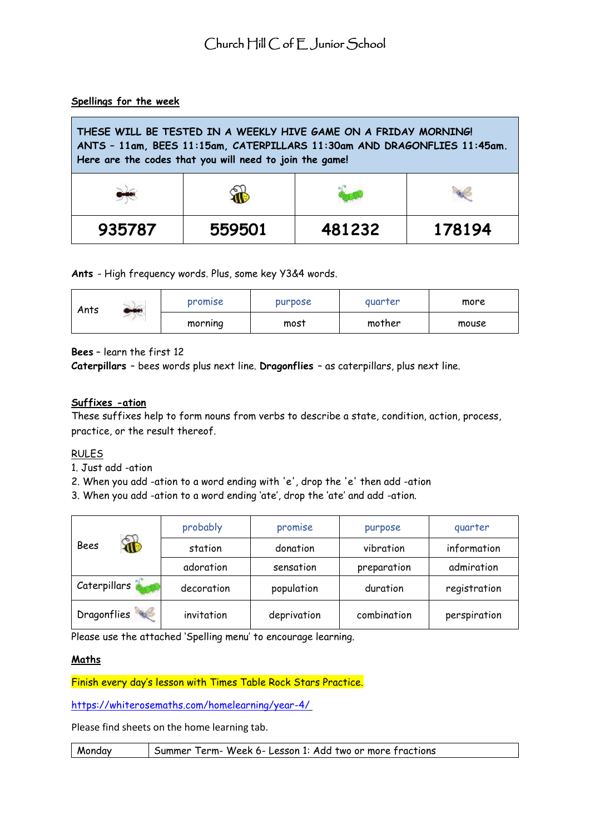#### **Spellings for the week**

| THESE WILL BE TESTED IN A WEEKLY HIVE GAME ON A FRIDAY MORNING!<br>ANTS - 11am, BEES 11:15am, CATERPILLARS 11:30am AND DRAGONFLIES 11:45am.<br>Here are the codes that you will need to join the game! |        |        |        |
|--------------------------------------------------------------------------------------------------------------------------------------------------------------------------------------------------------|--------|--------|--------|
|                                                                                                                                                                                                        | ŤĠ     |        |        |
| 935787                                                                                                                                                                                                 | 559501 | 481232 | 178194 |

**Ants** - High frequency words. Plus, some key Y3&4 words.

| Ants | $-4$ | promise | purpose | quarter | more  |
|------|------|---------|---------|---------|-------|
|      |      | morning | most    | mother  | mouse |

**Bees** – learn the first 12

**Caterpillars** – bees words plus next line. **Dragonflies** – as caterpillars, plus next line.

#### **Suffixes -ation**

These suffixes help to form nouns from verbs to describe a state, condition, action, process, practice, or the result thereof.

#### RULES

1. Just add -ation

2. When you add -ation to a word ending with 'e', drop the 'e' then add -ation

3. When you add -ation to a word ending 'ate', drop the 'ate' and add -ation.

|                            | probably   | promise     | purpose     | quarter      |
|----------------------------|------------|-------------|-------------|--------------|
| $\mathbf{\hat{a}}$<br>Bees | station    | donation    | vibration   | information  |
|                            | adoration  | sensation   | preparation | admiration   |
| Caterpillars               | decoration | population  | duration    | registration |
| Dragonflies                | invitation | deprivation | combination | perspiration |

Please use the attached 'Spelling menu' to encourage learning.

#### **Maths**

Finish every day's lesson with Times Table Rock Stars Practice.

[https://whiterosemaths.com/homelearning/year-4/](https://whiterosemaths.com/homelearning/year-4/ )

Please find sheets on the home learning tab.

Monday Summer Term- Week 6- Lesson 1: Add two or more fractions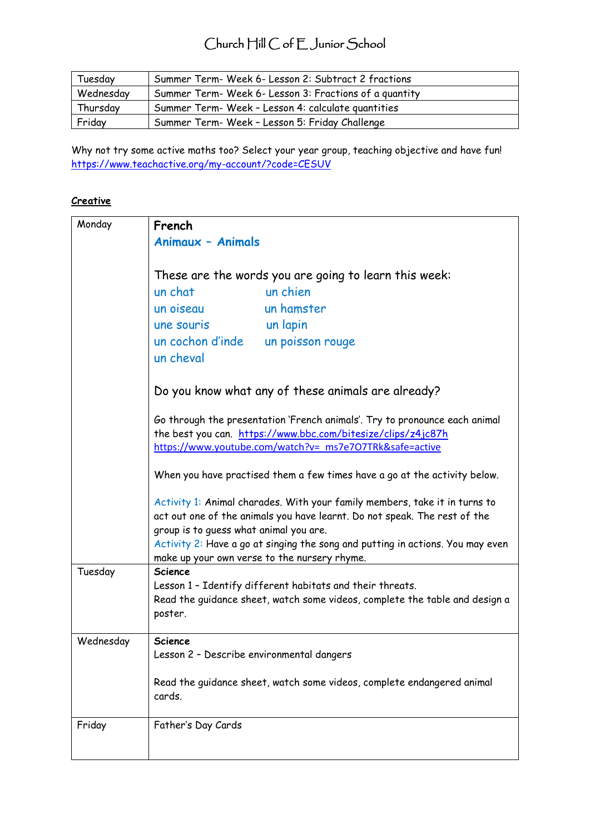## Church Hill C of E Junior School

| Tuesday   | Summer Term- Week 6- Lesson 2: Subtract 2 fractions    |
|-----------|--------------------------------------------------------|
| Wednesday | Summer Term- Week 6- Lesson 3: Fractions of a quantity |
| Thursday  | Summer Term- Week - Lesson 4: calculate quantities     |
| Friday    | Summer Term- Week - Lesson 5: Friday Challenge         |

Why not try some active maths too? Select your year group, teaching objective and have fun! <https://www.teachactive.org/my-account/?code=CESUV>

#### **Creative**

| Monday    | French                                       |                                                                                                                                                                                                       |
|-----------|----------------------------------------------|-------------------------------------------------------------------------------------------------------------------------------------------------------------------------------------------------------|
|           | <b>Animaux - Animals</b>                     |                                                                                                                                                                                                       |
|           |                                              |                                                                                                                                                                                                       |
|           |                                              | These are the words you are going to learn this week:                                                                                                                                                 |
|           | un chat                                      | un chien                                                                                                                                                                                              |
|           | un oiseau                                    | un hamster                                                                                                                                                                                            |
|           | une souris                                   | un lapin                                                                                                                                                                                              |
|           | un cochon d'inde                             | un poisson rouge                                                                                                                                                                                      |
|           | un cheval                                    |                                                                                                                                                                                                       |
|           |                                              | Do you know what any of these animals are already?                                                                                                                                                    |
|           |                                              | Go through the presentation 'French animals'. Try to pronounce each animal<br>the best you can. https://www.bbc.com/bitesize/clips/z4jc87h<br>https://www.youtube.com/watch?v= ms7e7O7TRk&safe=active |
|           |                                              |                                                                                                                                                                                                       |
|           |                                              | When you have practised them a few times have a go at the activity below.                                                                                                                             |
|           |                                              | Activity 1: Animal charades. With your family members, take it in turns to                                                                                                                            |
|           |                                              | act out one of the animals you have learnt. Do not speak. The rest of the                                                                                                                             |
|           | group is to guess what animal you are.       |                                                                                                                                                                                                       |
|           | make up your own verse to the nursery rhyme. | Activity 2: Have a go at singing the song and putting in actions. You may even                                                                                                                        |
| Tuesday   | <b>Science</b>                               |                                                                                                                                                                                                       |
|           |                                              | Lesson 1 - Identify different habitats and their threats.                                                                                                                                             |
|           | poster.                                      | Read the guidance sheet, watch some videos, complete the table and design a                                                                                                                           |
|           |                                              |                                                                                                                                                                                                       |
| Wednesday | <b>Science</b>                               |                                                                                                                                                                                                       |
|           | Lesson 2 - Describe environmental dangers    |                                                                                                                                                                                                       |
|           | cards.                                       | Read the guidance sheet, watch some videos, complete endangered animal                                                                                                                                |
| Friday    | Father's Day Cards                           |                                                                                                                                                                                                       |
|           |                                              |                                                                                                                                                                                                       |
|           |                                              |                                                                                                                                                                                                       |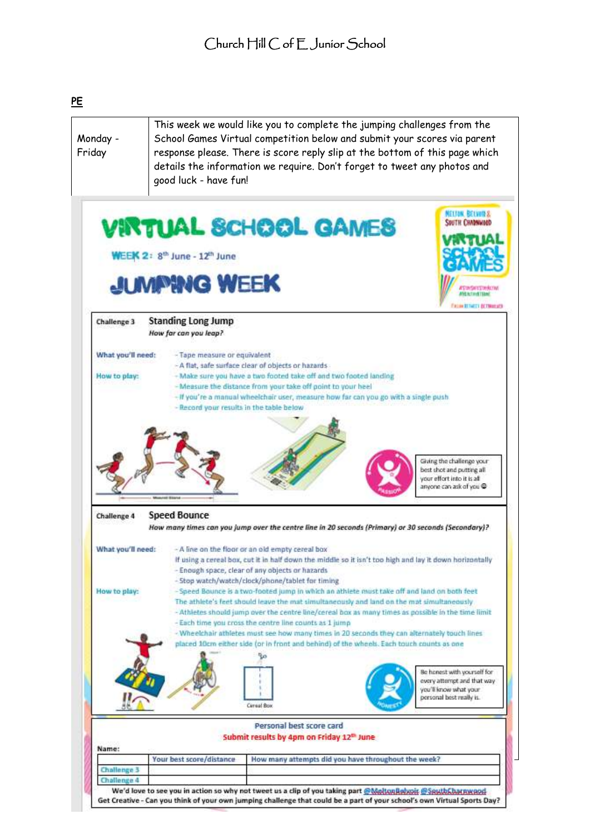